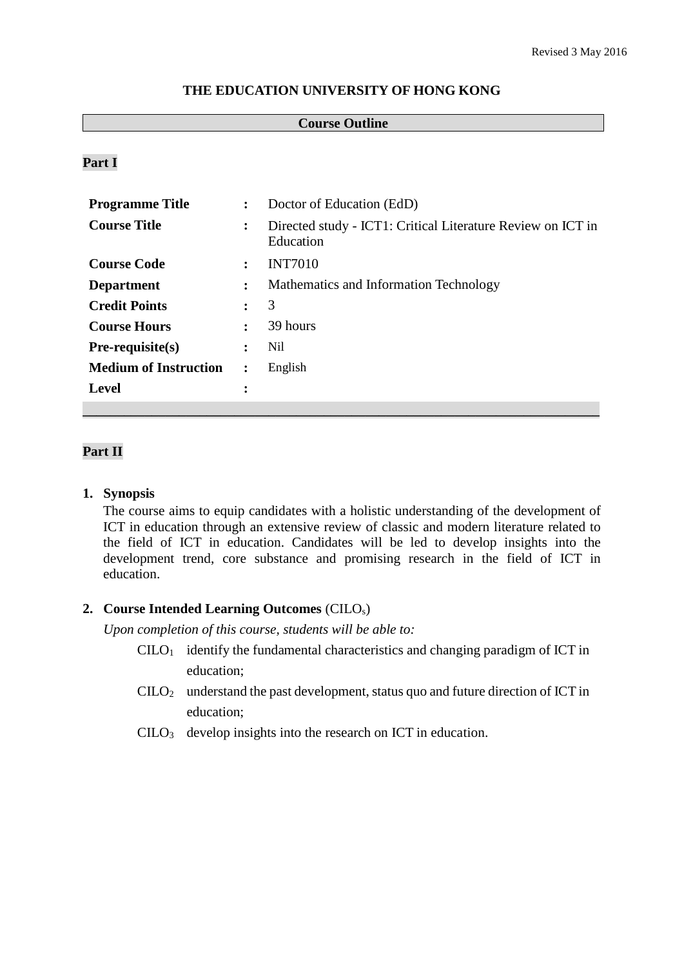#### **THE EDUCATION UNIVERSITY OF HONG KONG**

### **Course Outline**

## **Part I**

| <b>Programme Title</b>       | $\ddot{\phantom{a}}$ | Doctor of Education (EdD)                                                |
|------------------------------|----------------------|--------------------------------------------------------------------------|
| <b>Course Title</b>          | ፡                    | Directed study - ICT1: Critical Literature Review on ICT in<br>Education |
| <b>Course Code</b>           | $\ddot{\phantom{a}}$ | <b>INT7010</b>                                                           |
| <b>Department</b>            | ፡                    | Mathematics and Information Technology                                   |
| <b>Credit Points</b>         | $\ddot{\cdot}$       | 3                                                                        |
| <b>Course Hours</b>          | $\ddot{\cdot}$       | 39 hours                                                                 |
| $Pre-requisite(s)$           | :                    | Nil                                                                      |
| <b>Medium of Instruction</b> | $\ddot{\cdot}$       | English                                                                  |
| <b>Level</b>                 | ٠<br>$\bullet$       |                                                                          |
|                              |                      |                                                                          |

## **Part II**

#### **1. Synopsis**

The course aims to equip candidates with a holistic understanding of the development of ICT in education through an extensive review of classic and modern literature related to the field of ICT in education. Candidates will be led to develop insights into the development trend, core substance and promising research in the field of ICT in education.

#### **2. Course Intended Learning Outcomes** (CILOs)

*Upon completion of this course, students will be able to:*

- $C I L O<sub>1</sub>$  identify the fundamental characteristics and changing paradigm of ICT in education;
- $CILO<sub>2</sub>$  understand the past development, status quo and future direction of ICT in education;
- CILO<sup>3</sup> develop insights into the research on ICT in education.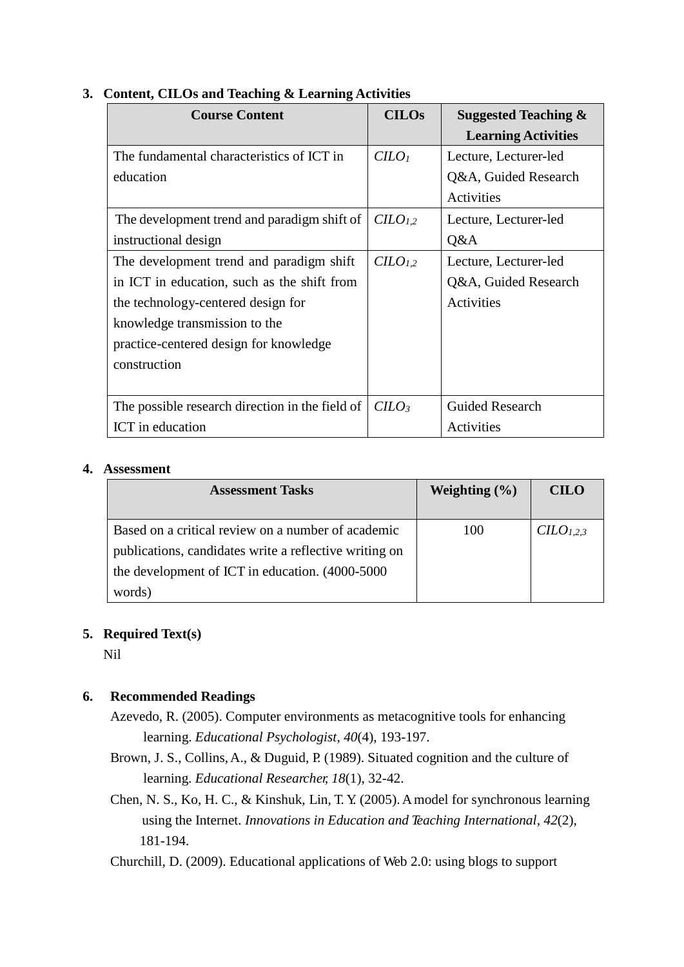| <b>Course Content</b>                           | <b>CILOs</b>                    | <b>Suggested Teaching &amp;</b> |
|-------------------------------------------------|---------------------------------|---------------------------------|
|                                                 |                                 | <b>Learning Activities</b>      |
| The fundamental characteristics of ICT in       | C <i>LO</i> <sub>1</sub>        | Lecture, Lecturer-led           |
| education                                       |                                 | Q&A, Guided Research            |
|                                                 |                                 | Activities                      |
| The development trend and paradigm shift of     | C <sub>L</sub> O <sub>1,2</sub> | Lecture, Lecturer-led           |
| instructional design                            |                                 | Q&A                             |
| The development trend and paradigm shift        | $CLO_{1,2}$                     | Lecture, Lecturer-led           |
| in ICT in education, such as the shift from     |                                 | Q&A, Guided Research            |
| the technology-centered design for              |                                 | Activities                      |
| knowledge transmission to the                   |                                 |                                 |
| practice-centered design for knowledge          |                                 |                                 |
| construction                                    |                                 |                                 |
|                                                 |                                 |                                 |
| The possible research direction in the field of | $C$                             | Guided Research                 |
| ICT in education                                |                                 | Activities                      |

## **3. Content, CILOs and Teaching & Learning Activities**

#### **4. Assessment**

| <b>Assessment Tasks</b>                                | Weighting $(\% )$ | <b>CILO</b>           |
|--------------------------------------------------------|-------------------|-----------------------|
| Based on a critical review on a number of academic     | 100               | CILO <sub>1.2.3</sub> |
| publications, candidates write a reflective writing on |                   |                       |
| the development of ICT in education. (4000-5000        |                   |                       |
| words)                                                 |                   |                       |

# **5. Required Text(s)**

Nil

# **6. Recommended Readings**

- Azevedo, R. (2005). Computer environments as metacognitive tools for enhancing learning. *Educational Psychologist*, *40*(4), 193-197.
- Brown, J. S., Collins,A., & Duguid, P. (1989). Situated cognition and the culture of learning. *Educational Researcher, 18*(1), 32-42.
- Chen, N. S., Ko, H. C., & Kinshuk, Lin, T. Y. (2005). Amodel for synchronous learning using the Internet. *Innovations in Education and Teaching International*, *42*(2), 181-194.

Churchill, D. (2009). Educational applications of Web 2.0: using blogs to support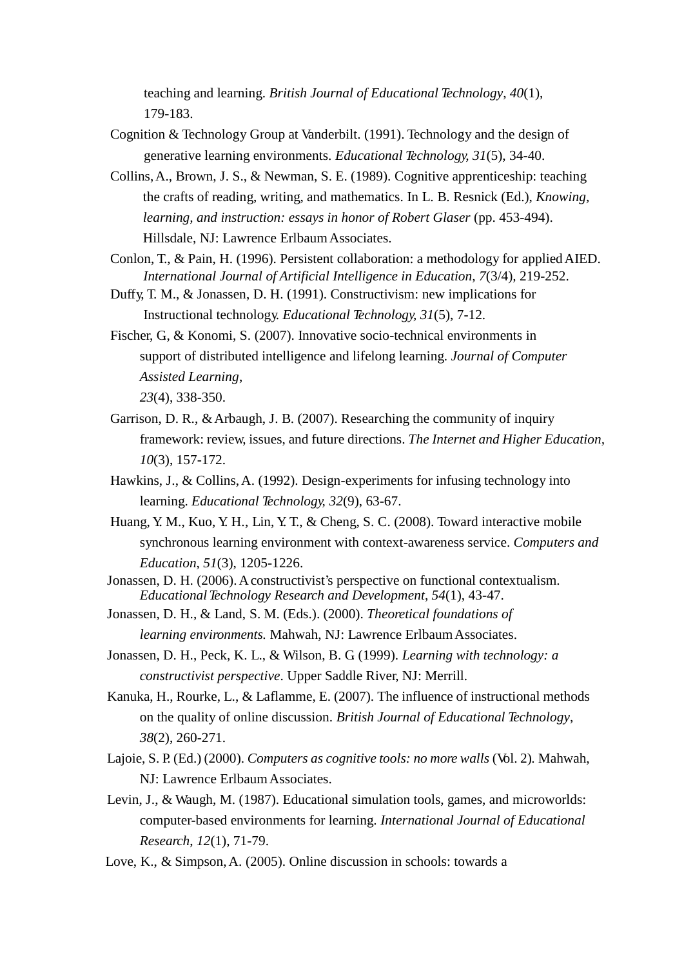teaching and learning. *British Journal of Educational Technology*, *40*(1), 179-183.

- Cognition & Technology Group at Vanderbilt. (1991). Technology and the design of generative learning environments. *Educational Technology, 31*(5), 34-40.
- Collins,A., Brown, J. S., & Newman, S. E. (1989). Cognitive apprenticeship: teaching the crafts of reading, writing, and mathematics. In L. B. Resnick (Ed.), *Knowing, learning, and instruction: essays in honor of Robert Glaser* (pp. 453-494). Hillsdale, NJ: Lawrence ErlbaumAssociates.
- Conlon, T., & Pain, H. (1996). Persistent collaboration: a methodology for appliedAIED. *International Journal of Artificial Intelligence in Education, 7*(3/4)*,* 219-252.
- Duffy, T. M., & Jonassen, D. H. (1991). Constructivism: new implications for Instructional technology. *Educational Technology, 31*(5), 7-12.
- Fischer, G., & Konomi, S. (2007). Innovative socio-technical environments in support of distributed intelligence and lifelong learning. *Journal of Computer Assisted Learning*,

*23*(4), 338-350.

- Garrison, D. R., &Arbaugh, J. B. (2007). Researching the community of inquiry framework: review, issues, and future directions. *The Internet and Higher Education, 10*(3), 157-172.
- Hawkins, J., & Collins,A. (1992). Design-experiments for infusing technology into learning. *Educational Technology, 32*(9), 63-67.
- Huang, Y. M., Kuo, Y. H., Lin, Y. T., & Cheng, S. C. (2008). Toward interactive mobile synchronous learning environment with context-awareness service. *Computers and Education*, *51*(3), 1205-1226.
- Jonassen, D. H. (2006). A constructivist's perspective on functional contextualism. *Educational Technology Research and Development*, *54*(1), 43-47.
- Jonassen, D. H., & Land, S. M. (Eds.). (2000). *Theoretical foundations of learning environments.* Mahwah, NJ: Lawrence Erlbaum Associates.
- Jonassen, D. H., Peck, K. L., & Wilson, B. G. (1999). *Learning with technology: a constructivist perspective*. Upper Saddle River, NJ: Merrill.
- Kanuka, H., Rourke, L., & Laflamme, E. (2007). The influence of instructional methods on the quality of online discussion. *British Journal of Educational Technology*, *38*(2), 260-271.
- Lajoie, S. P. (Ed.) (2000). *Computers as cognitive tools: no more walls* (Vol. 2)*.* Mahwah, NJ: Lawrence ErlbaumAssociates.
- Levin, J., & Waugh, M. (1987). Educational simulation tools, games, and microworlds: computer-based environments for learning. *International Journal of Educational Research*, *12*(1), 71-79.
- Love, K., & Simpson,A. (2005). Online discussion in schools: towards a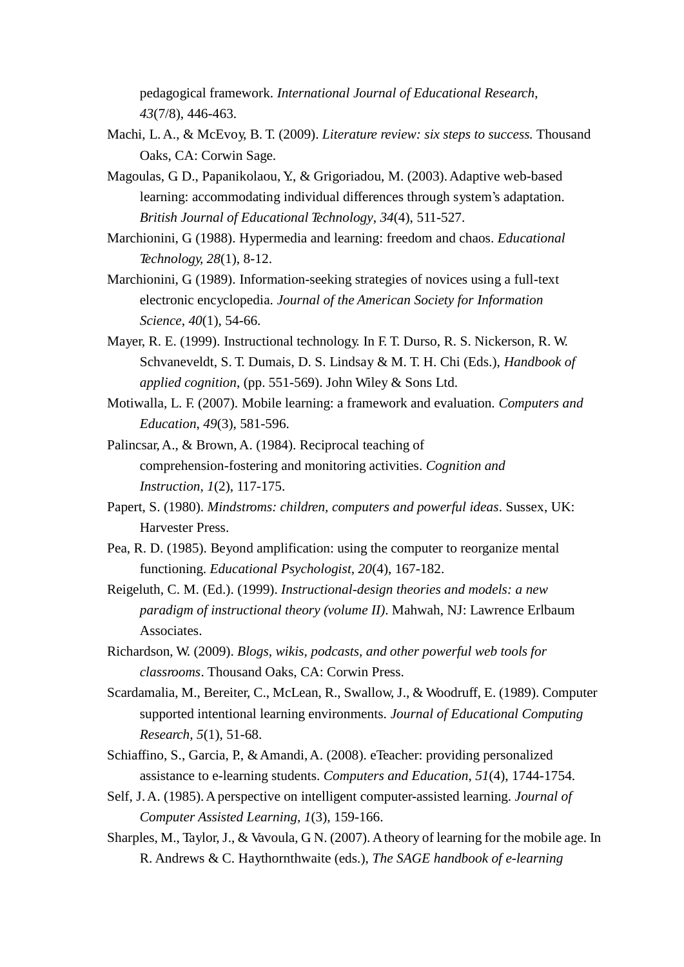pedagogical framework. *International Journal of Educational Research*, *43*(7/8), 446-463.

- Machi, L.A., & McEvoy, B. T. (2009). *Literature review: six steps to success.* Thousand Oaks, CA: Corwin Sage.
- Magoulas, G. D., Papanikolaou, Y., & Grigoriadou, M. (2003). Adaptive web-based learning: accommodating individual differences through system's adaptation. *British Journal of Educational Technology*, *34*(4), 511-527.
- Marchionini, G. (1988). Hypermedia and learning: freedom and chaos. *Educational Technology, 28*(1), 8-12.
- Marchionini, G. (1989). Information-seeking strategies of novices using a full-text electronic encyclopedia. *Journal of the American Society for Information Science*, *40*(1), 54-66.
- Mayer, R. E. (1999). Instructional technology. In F. T. Durso, R. S. Nickerson, R. W. Schvaneveldt, S. T. Dumais, D. S. Lindsay & M. T. H. Chi (Eds.), *Handbook of applied cognition*, (pp. 551-569). John Wiley & Sons Ltd.
- Motiwalla, L. F. (2007). Mobile learning: a framework and evaluation. *Computers and Education*, *49*(3), 581-596.
- Palincsar,A., & Brown, A. (1984). Reciprocal teaching of comprehension-fostering and monitoring activities. *Cognition and Instruction, 1*(2), 117-175.
- Papert, S. (1980). *Mindstroms: children, computers and powerful ideas*. Sussex, UK: Harvester Press.
- Pea, R. D. (1985). Beyond amplification: using the computer to reorganize mental functioning. *Educational Psychologist, 20*(4), 167-182.
- Reigeluth, C. M. (Ed.). (1999). *Instructional*-*design theories and models: a new paradigm of instructional theory (volume II)*. Mahwah, NJ: Lawrence Erlbaum Associates.
- Richardson, W. (2009). *Blogs, wikis, podcasts, and other powerful web tools for classrooms*. Thousand Oaks, CA: Corwin Press.
- Scardamalia, M., Bereiter, C., McLean, R., Swallow, J., & Woodruff, E. (1989). Computer supported intentional learning environments. *Journal of Educational Computing Research, 5*(1), 51-68.
- Schiaffino, S., Garcia, P., &Amandi,A. (2008). eTeacher: providing personalized assistance to e-learning students. *Computers and Education*, *51*(4), 1744-1754.
- Self, J.A. (1985).Aperspective on intelligent computer-assisted learning. *Journal of Computer Assisted Learning, 1*(3), 159-166.
- Sharples, M., Taylor, J., & Vavoula, G.N. (2007). A theory of learning for the mobile age. In R. Andrews & C. Haythornthwaite (eds.), *The SAGE handbook of e-learning*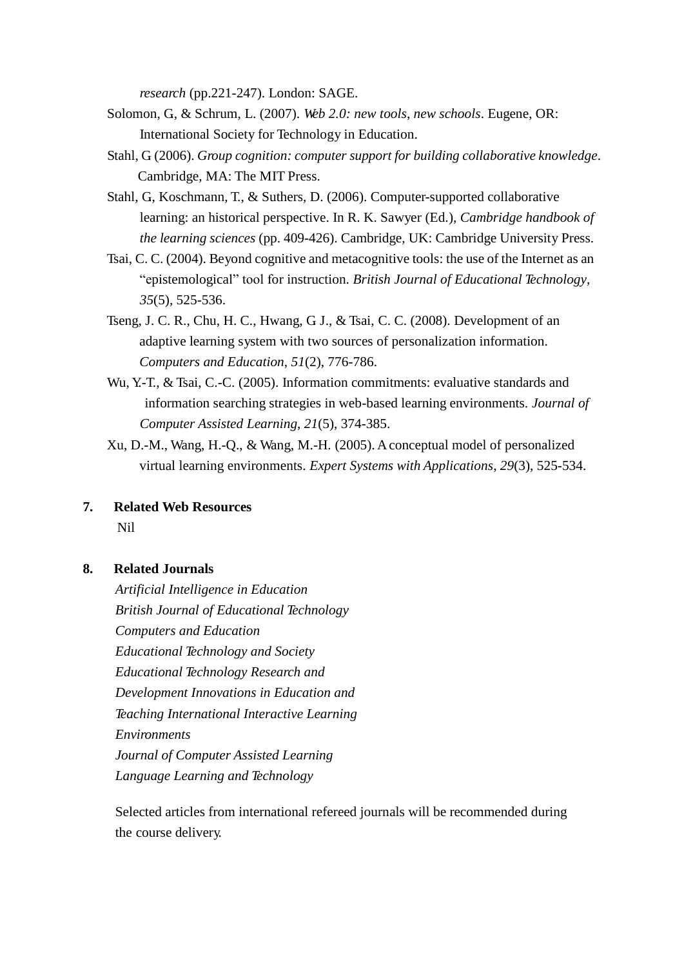*research* (pp.221-247). London: SAGE.

- Solomon, G., & Schrum, L. (2007). *Web 2.0: new tools, new schools*. Eugene, OR: International Society for Technology in Education.
- Stahl, G. (2006). *Group cognition: computer support for building collaborative knowledge*. Cambridge, MA: The MIT Press.
- Stahl, G., Koschmann, T., & Suthers, D. (2006). Computer-supported collaborative learning: an historical perspective. In R. K. Sawyer (Ed.), *Cambridge handbook of the learning sciences* (pp. 409-426). Cambridge, UK: Cambridge University Press.
- Tsai, C. C. (2004). Beyond cognitive and metacognitive tools: the use of the Internet as an "epistemological" tool for instruction. *British Journal of Educational Technology*, *35*(5), 525-536.
- Tseng, J. C. R., Chu, H. C., Hwang, G. J., & Tsai, C. C. (2008). Development of an adaptive learning system with two sources of personalization information. *Computers and Education*, *51*(2), 776-786.
- Wu, Y.-T., & Tsai, C.-C. (2005). Information commitments: evaluative standards and information searching strategies in web-based learning environments. *Journal of Computer Assisted Learning*, *21*(5), 374-385.
- Xu, D.-M., Wang, H.-Q., & Wang, M.-H. (2005). Aconceptual model of personalized virtual learning environments. *Expert Systems with Applications*, *29*(3), 525-534.
- **7. Related Web Resources** Nil

#### **8. Related Journals**

*Artificial Intelligence in Education British Journal of Educational Technology Computers and Education Educational Technology and Society Educational Technology Research and Development Innovations in Education and Teaching International Interactive Learning Environments Journal of Computer Assisted Learning Language Learning and Technology*

Selected articles from international refereed journals will be recommended during the course delivery.